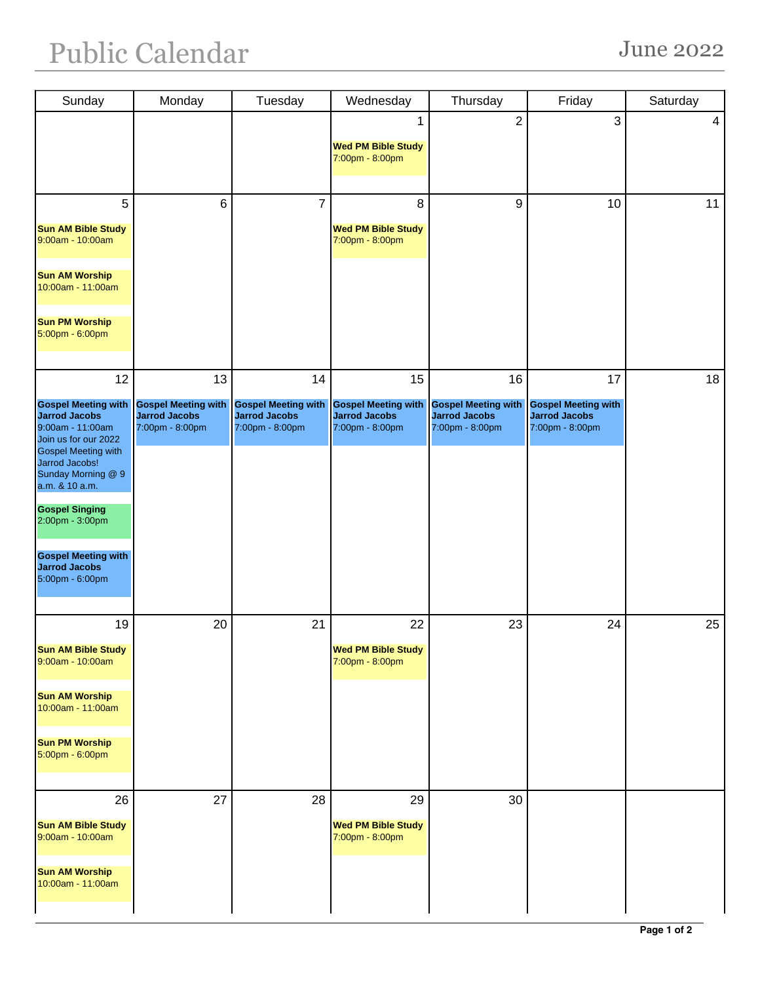| Sunday                                                                 | Monday                                                                | Tuesday                                                               | Wednesday                                                             | Thursday                                                              | Friday                                                                | Saturday |
|------------------------------------------------------------------------|-----------------------------------------------------------------------|-----------------------------------------------------------------------|-----------------------------------------------------------------------|-----------------------------------------------------------------------|-----------------------------------------------------------------------|----------|
|                                                                        |                                                                       |                                                                       | 1                                                                     | $\overline{2}$                                                        | 3                                                                     | 4        |
|                                                                        |                                                                       |                                                                       | <b>Wed PM Bible Study</b>                                             |                                                                       |                                                                       |          |
|                                                                        |                                                                       |                                                                       | 7:00pm - 8:00pm                                                       |                                                                       |                                                                       |          |
|                                                                        |                                                                       |                                                                       |                                                                       |                                                                       |                                                                       |          |
| 5                                                                      | $6\phantom{1}$                                                        | $\overline{7}$                                                        | 8                                                                     | $\boldsymbol{9}$                                                      | 10                                                                    | 11       |
| <b>Sun AM Bible Study</b><br>9:00am - 10:00am                          |                                                                       |                                                                       | <b>Wed PM Bible Study</b><br>7:00pm - 8:00pm                          |                                                                       |                                                                       |          |
| <b>Sun AM Worship</b><br>10:00am - 11:00am                             |                                                                       |                                                                       |                                                                       |                                                                       |                                                                       |          |
| <b>Sun PM Worship</b><br>5:00pm - 6:00pm                               |                                                                       |                                                                       |                                                                       |                                                                       |                                                                       |          |
| 12                                                                     | 13                                                                    | 14                                                                    | 15                                                                    | 16                                                                    | 17                                                                    | 18       |
| <b>Gospel Meeting with</b><br><b>Jarrod Jacobs</b><br>9:00am - 11:00am | <b>Gospel Meeting with</b><br><b>Jarrod Jacobs</b><br>7:00pm - 8:00pm | <b>Gospel Meeting with</b><br><b>Jarrod Jacobs</b><br>7:00pm - 8:00pm | <b>Gospel Meeting with</b><br><b>Jarrod Jacobs</b><br>7:00pm - 8:00pm | <b>Gospel Meeting with</b><br><b>Jarrod Jacobs</b><br>7:00pm - 8:00pm | <b>Gospel Meeting with</b><br><b>Jarrod Jacobs</b><br>7:00pm - 8:00pm |          |
| Join us for our 2022<br><b>Gospel Meeting with</b>                     |                                                                       |                                                                       |                                                                       |                                                                       |                                                                       |          |
| Jarrod Jacobs!<br>Sunday Morning @ 9<br>a.m. & 10 a.m.                 |                                                                       |                                                                       |                                                                       |                                                                       |                                                                       |          |
| <b>Gospel Singing</b><br>2:00pm - 3:00pm                               |                                                                       |                                                                       |                                                                       |                                                                       |                                                                       |          |
| <b>Gospel Meeting with</b><br><b>Jarrod Jacobs</b><br>5:00pm - 6:00pm  |                                                                       |                                                                       |                                                                       |                                                                       |                                                                       |          |
|                                                                        |                                                                       |                                                                       |                                                                       |                                                                       |                                                                       |          |
| 19                                                                     | 20                                                                    | 21                                                                    | 22                                                                    | 23                                                                    | 24                                                                    | 25       |
| <b>Sun AM Bible Study</b><br>9:00am - 10:00am                          |                                                                       |                                                                       | <b>Wed PM Bible Study</b><br>7:00pm - 8:00pm                          |                                                                       |                                                                       |          |
| <b>Sun AM Worship</b><br>10:00am - 11:00am                             |                                                                       |                                                                       |                                                                       |                                                                       |                                                                       |          |
| <b>Sun PM Worship</b><br>5:00pm - 6:00pm                               |                                                                       |                                                                       |                                                                       |                                                                       |                                                                       |          |
| 26                                                                     | 27                                                                    | 28                                                                    | 29                                                                    | 30                                                                    |                                                                       |          |
| <b>Sun AM Bible Study</b><br>9:00am - 10:00am                          |                                                                       |                                                                       | <b>Wed PM Bible Study</b><br>7:00pm - 8:00pm                          |                                                                       |                                                                       |          |
| <b>Sun AM Worship</b><br>10:00am - 11:00am                             |                                                                       |                                                                       |                                                                       |                                                                       |                                                                       |          |
|                                                                        |                                                                       |                                                                       |                                                                       |                                                                       |                                                                       |          |